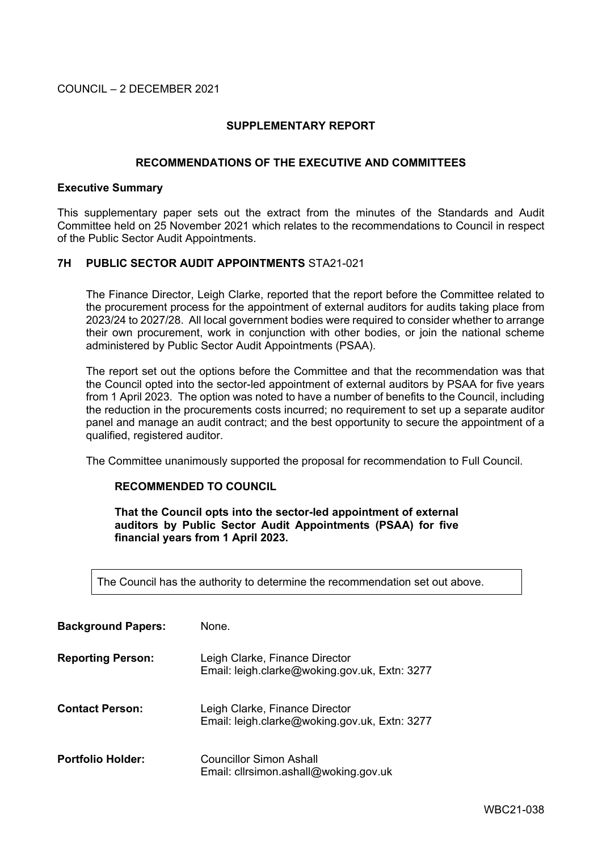## **SUPPLEMENTARY REPORT**

## **RECOMMENDATIONS OF THE EXECUTIVE AND COMMITTEES**

#### **Executive Summary**

This supplementary paper sets out the extract from the minutes of the Standards and Audit Committee held on 25 November 2021 which relates to the recommendations to Council in respect of the Public Sector Audit Appointments.

# **7H PUBLIC SECTOR AUDIT APPOINTMENTS** STA21-021

The Finance Director, Leigh Clarke, reported that the report before the Committee related to the procurement process for the appointment of external auditors for audits taking place from 2023/24 to 2027/28. All local government bodies were required to consider whether to arrange their own procurement, work in conjunction with other bodies, or join the national scheme administered by Public Sector Audit Appointments (PSAA).

The report set out the options before the Committee and that the recommendation was that the Council opted into the sector-led appointment of external auditors by PSAA for five years from 1 April 2023. The option was noted to have a number of benefits to the Council, including the reduction in the procurements costs incurred; no requirement to set up a separate auditor panel and manage an audit contract; and the best opportunity to secure the appointment of a qualified, registered auditor.

The Committee unanimously supported the proposal for recommendation to Full Council.

### **RECOMMENDED TO COUNCIL**

**That the Council opts into the sector-led appointment of external auditors by Public Sector Audit Appointments (PSAA) for five financial years from 1 April 2023.**

The Council has the authority to determine the recommendation set out above.

| <b>Background Papers:</b> | None.                                                                           |
|---------------------------|---------------------------------------------------------------------------------|
| <b>Reporting Person:</b>  | Leigh Clarke, Finance Director<br>Email: leigh.clarke@woking.gov.uk, Extn: 3277 |
| <b>Contact Person:</b>    | Leigh Clarke, Finance Director<br>Email: leigh.clarke@woking.gov.uk, Extn: 3277 |
| <b>Portfolio Holder:</b>  | <b>Councillor Simon Ashall</b><br>Email: cllrsimon.ashall@woking.gov.uk         |